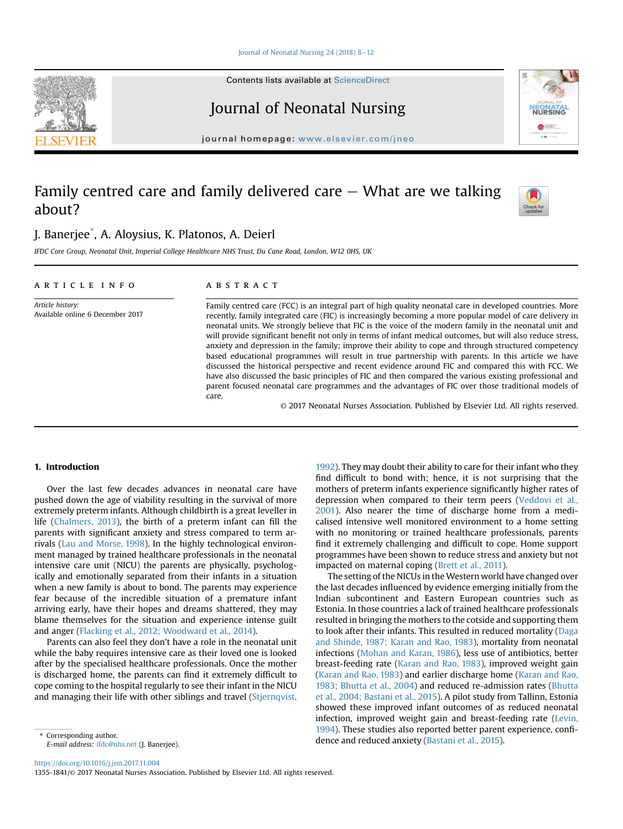#### Journal of Neonatal Nursing  $24$  (2018) 8-[12](https://doi.org/10.1016/j.jnn.2017.11.004)

Contents lists available at ScienceDirect

# Journal of Neonatal Nursing

journal homepage: <www.elsevier.com/jneo>

## Family centred care and family delivered care  $-$  What are we talking about?

### J. Banerjee\* , A. Aloysius, K. Platonos, A. Deierl

IFDC Core Group, Neonatal Unit, Imperial College Healthcare NHS Trust, Du Cane Road, London, W12 0HS, UK

#### article info

Available online 6 December 2017

Article history:

#### **ABSTRACT**

Family centred care (FCC) is an integral part of high quality neonatal care in developed countries. More recently, family integrated care (FIC) is increasingly becoming a more popular model of care delivery in neonatal units. We strongly believe that FIC is the voice of the modern family in the neonatal unit and will provide significant benefit not only in terms of infant medical outcomes, but will also reduce stress, anxiety and depression in the family; improve their ability to cope and through structured competency based educational programmes will result in true partnership with parents. In this article we have discussed the historical perspective and recent evidence around FIC and compared this with FCC. We have also discussed the basic principles of FIC and then compared the various existing professional and parent focused neonatal care programmes and the advantages of FIC over those traditional models of care.

© 2017 Neonatal Nurses Association. Published by Elsevier Ltd. All rights reserved.

impacted on maternal coping [\(Brett et al., 2011\)](#page-3-0).

[1992](#page-3-0)). They may doubt their ability to care for their infant who they find difficult to bond with; hence, it is not surprising that the mothers of preterm infants experience significantly higher rates of depression when compared to their term peers [\(Veddovi et al.,](#page-4-0) [2001\)](#page-4-0). Also nearer the time of discharge home from a medicalised intensive well monitored environment to a home setting with no monitoring or trained healthcare professionals, parents find it extremely challenging and difficult to cope. Home support programmes have been shown to reduce stress and anxiety but not

The setting of the NICUs in the Western world have changed over the last decades influenced by evidence emerging initially from the Indian subcontinent and Eastern European countries such as Estonia. In those countries a lack of trained healthcare professionals resulted in bringing the mothers to the cotside and supporting them to look after their infants. This resulted in reduced mortality [\(Daga](#page-3-0) [and Shinde, 1987; Karan and Rao, 1983\)](#page-3-0), mortality from neonatal infections ([Mohan and Karan, 1986\)](#page-3-0), less use of antibiotics, better breast-feeding rate ([Karan and Rao, 1983\)](#page-3-0), improved weight gain ([Karan and Rao, 1983\)](#page-3-0) and earlier discharge home ([Karan and Rao,](#page-3-0) [1983; Bhutta et al., 2004\)](#page-3-0) and reduced re-admission rates ([Bhutta](#page-3-0)

#### 1. Introduction

Over the last few decades advances in neonatal care have pushed down the age of viability resulting in the survival of more extremely preterm infants. Although childbirth is a great leveller in life ([Chalmers, 2013](#page-3-0)), the birth of a preterm infant can fill the parents with significant anxiety and stress compared to term arrivals ([Lau and Morse, 1998](#page-3-0)). In the highly technological environment managed by trained healthcare professionals in the neonatal intensive care unit (NICU) the parents are physically, psychologically and emotionally separated from their infants in a situation when a new family is about to bond. The parents may experience fear because of the incredible situation of a premature infant arriving early, have their hopes and dreams shattered, they may blame themselves for the situation and experience intense guilt and anger [\(Flacking et al., 2012; Woodward et al., 2014](#page-3-0)).

Parents can also feel they don't have a role in the neonatal unit while the baby requires intensive care as their loved one is looked after by the specialised healthcare professionals. Once the mother is discharged home, the parents can find it extremely difficult to cope coming to the hospital regularly to see their infant in the NICU and managing their life with other siblings and travel [\(Stjernqvist,](#page-3-0)

[et al., 2004; Bastani et al., 2015](#page-3-0)). A pilot study from Tallinn, Estonia showed these improved infant outcomes of as reduced neonatal infection, improved weight gain and breast-feeding rate ([Levin,](#page-3-0) [1994](#page-3-0)). These studies also reported better parent experience, confi-\* Corresponding author.<br> **E-mail address:** ifdc@phs.pet (L Baneriee) **the corresponding author.**<br> **Corresponding author.**<br> **Corresponding author.** 







E-mail address: [ifdc@nhs.net](mailto:ifdc@nhs.net) (J. Banerjee).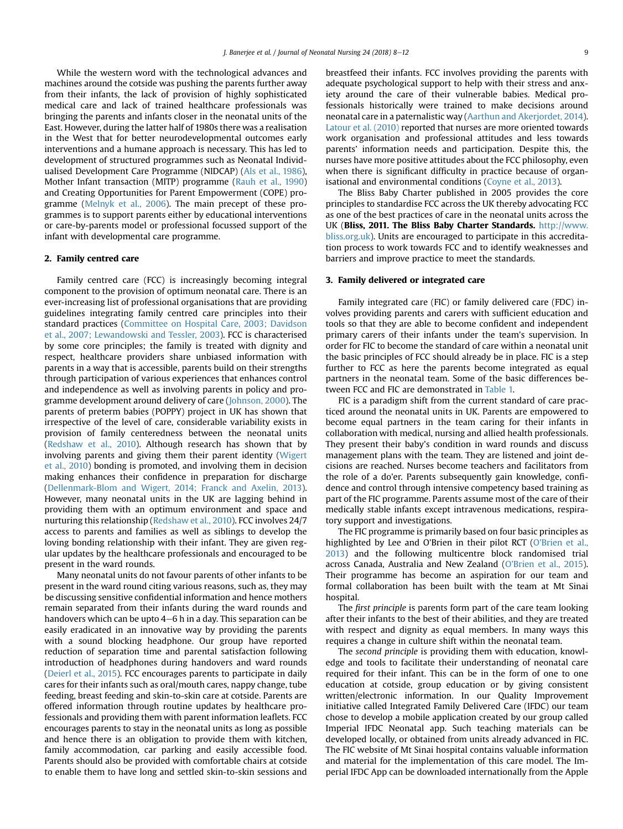While the western word with the technological advances and machines around the cotside was pushing the parents further away from their infants, the lack of provision of highly sophisticated medical care and lack of trained healthcare professionals was bringing the parents and infants closer in the neonatal units of the East. However, during the latter half of 1980s there was a realisation in the West that for better neurodevelopmental outcomes early interventions and a humane approach is necessary. This has led to development of structured programmes such as Neonatal Individualised Development Care Programme (NIDCAP) [\(Als et al., 1986\)](#page-3-0), Mother Infant transaction (MITP) programme [\(Rauh et al., 1990\)](#page-3-0) and Creating Opportunities for Parent Empowerment (COPE) programme [\(Melnyk et al., 2006\)](#page-3-0). The main precept of these programmes is to support parents either by educational interventions or care-by-parents model or professional focussed support of the infant with developmental care programme.

#### 2. Family centred care

Family centred care (FCC) is increasingly becoming integral component to the provision of optimum neonatal care. There is an ever-increasing list of professional organisations that are providing guidelines integrating family centred care principles into their standard practices ([Committee on Hospital Care, 2003; Davidson](#page-3-0) [et al., 2007; Lewandowski and Tessler, 2003](#page-3-0)). FCC is characterised by some core principles; the family is treated with dignity and respect, healthcare providers share unbiased information with parents in a way that is accessible, parents build on their strengths through participation of various experiences that enhances control and independence as well as involving parents in policy and programme development around delivery of care [\(Johnson, 2000\)](#page-3-0). The parents of preterm babies (POPPY) project in UK has shown that irrespective of the level of care, considerable variability exists in provision of family centeredness between the neonatal units ([Redshaw et al., 2010\)](#page-3-0). Although research has shown that by involving parents and giving them their parent identity [\(Wigert](#page-4-0) [et al., 2010](#page-4-0)) bonding is promoted, and involving them in decision making enhances their confidence in preparation for discharge ([Dellenmark-Blom and Wigert, 2014; Franck and Axelin, 2013\)](#page-3-0). However, many neonatal units in the UK are lagging behind in providing them with an optimum environment and space and nurturing this relationship ([Redshaw et al., 2010](#page-3-0)). FCC involves 24/7 access to parents and families as well as siblings to develop the loving bonding relationship with their infant. They are given regular updates by the healthcare professionals and encouraged to be present in the ward rounds.

Many neonatal units do not favour parents of other infants to be present in the ward round citing various reasons, such as, they may be discussing sensitive confidential information and hence mothers remain separated from their infants during the ward rounds and handovers which can be upto  $4-6$  h in a day. This separation can be easily eradicated in an innovative way by providing the parents with a sound blocking headphone. Our group have reported reduction of separation time and parental satisfaction following introduction of headphones during handovers and ward rounds ([Deierl et al., 2015\)](#page-3-0). FCC encourages parents to participate in daily cares for their infants such as oral/mouth cares, nappy change, tube feeding, breast feeding and skin-to-skin care at cotside. Parents are offered information through routine updates by healthcare professionals and providing them with parent information leaflets. FCC encourages parents to stay in the neonatal units as long as possible and hence there is an obligation to provide them with kitchen, family accommodation, car parking and easily accessible food. Parents should also be provided with comfortable chairs at cotside to enable them to have long and settled skin-to-skin sessions and breastfeed their infants. FCC involves providing the parents with adequate psychological support to help with their stress and anxiety around the care of their vulnerable babies. Medical professionals historically were trained to make decisions around neonatal care in a paternalistic way [\(Aarthun and Akerjordet, 2014\)](#page-3-0). [Latour et al. \(2010\)](#page-3-0) reported that nurses are more oriented towards work organisation and professional attitudes and less towards parents' information needs and participation. Despite this, the nurses have more positive attitudes about the FCC philosophy, even when there is significant difficulty in practice because of organisational and environmental conditions ([Coyne et al., 2013](#page-3-0)).

The Bliss Baby Charter published in 2005 provides the core principles to standardise FCC across the UK thereby advocating FCC as one of the best practices of care in the neonatal units across the UK (Bliss, 2011. The Bliss Baby Charter Standards. [http://www.](http://www.bliss.org.uk) [bliss.org.uk](http://www.bliss.org.uk)). Units are encouraged to participate in this accreditation process to work towards FCC and to identify weaknesses and barriers and improve practice to meet the standards.

#### 3. Family delivered or integrated care

Family integrated care (FIC) or family delivered care (FDC) involves providing parents and carers with sufficient education and tools so that they are able to become confident and independent primary carers of their infants under the team's supervision. In order for FIC to become the standard of care within a neonatal unit the basic principles of FCC should already be in place. FIC is a step further to FCC as here the parents become integrated as equal partners in the neonatal team. Some of the basic differences between FCC and FIC are demonstrated in [Table 1.](#page-2-0)

FIC is a paradigm shift from the current standard of care practiced around the neonatal units in UK. Parents are empowered to become equal partners in the team caring for their infants in collaboration with medical, nursing and allied health professionals. They present their baby's condition in ward rounds and discuss management plans with the team. They are listened and joint decisions are reached. Nurses become teachers and facilitators from the role of a do'er. Parents subsequently gain knowledge, confidence and control through intensive competency based training as part of the FIC programme. Parents assume most of the care of their medically stable infants except intravenous medications, respiratory support and investigations.

The FIC programme is primarily based on four basic principles as highlighted by Lee and O'Brien in their pilot RCT [\(O'Brien et al.,](#page-3-0) [2013\)](#page-3-0) and the following multicentre block randomised trial across Canada, Australia and New Zealand [\(O'Brien et al., 2015\)](#page-3-0). Their programme has become an aspiration for our team and formal collaboration has been built with the team at Mt Sinai hospital.

The first principle is parents form part of the care team looking after their infants to the best of their abilities, and they are treated with respect and dignity as equal members. In many ways this requires a change in culture shift within the neonatal team.

The second principle is providing them with education, knowledge and tools to facilitate their understanding of neonatal care required for their infant. This can be in the form of one to one education at cotside, group education or by giving consistent written/electronic information. In our Quality Improvement initiative called Integrated Family Delivered Care (IFDC) our team chose to develop a mobile application created by our group called Imperial IFDC Neonatal app. Such teaching materials can be developed locally, or obtained from units already advanced in FIC. The FIC website of Mt Sinai hospital contains valuable information and material for the implementation of this care model. The Imperial IFDC App can be downloaded internationally from the Apple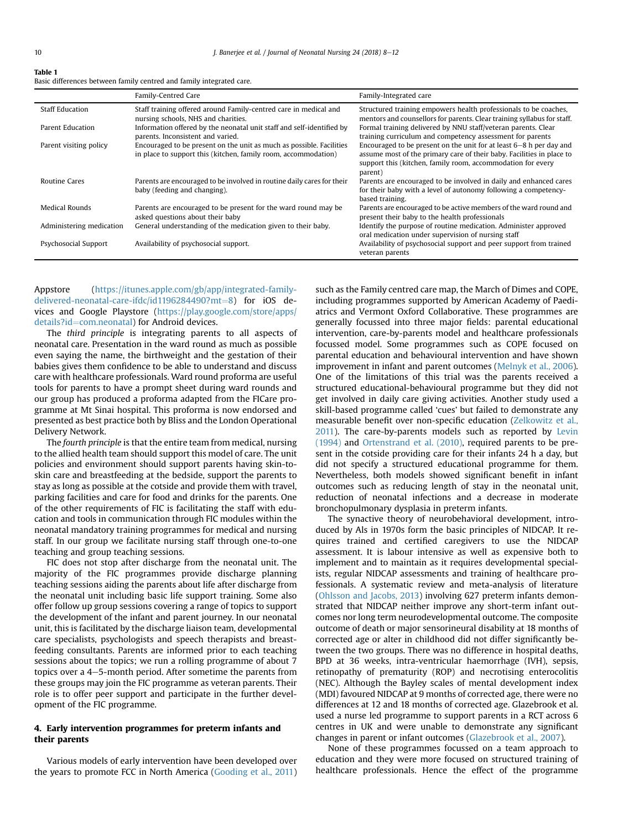#### <span id="page-2-0"></span>Table 1

Basic differences between family centred and family integrated care.

|                          | Family-Centred Care                                                                                                                    | Family-Integrated care                                                                                                                                                                                                   |
|--------------------------|----------------------------------------------------------------------------------------------------------------------------------------|--------------------------------------------------------------------------------------------------------------------------------------------------------------------------------------------------------------------------|
| <b>Staff Education</b>   | Staff training offered around Family-centred care in medical and<br>nursing schools, NHS and charities.                                | Structured training empowers health professionals to be coaches,<br>mentors and counsellors for parents. Clear training syllabus for staff.                                                                              |
| Parent Education         | Information offered by the neonatal unit staff and self-identified by<br>parents, Inconsistent and varied.                             | Formal training delivered by NNU staff/veteran parents. Clear<br>training curriculum and competency assessment for parents                                                                                               |
| Parent visiting policy   | Encouraged to be present on the unit as much as possible. Facilities<br>in place to support this (kitchen, family room, accommodation) | Encouraged to be present on the unit for at least $6-8$ h per day and<br>assume most of the primary care of their baby. Facilities in place to<br>support this (kitchen, family room, accommodation for every<br>parent) |
| <b>Routine Cares</b>     | Parents are encouraged to be involved in routine daily cares for their<br>baby (feeding and changing).                                 | Parents are encouraged to be involved in daily and enhanced cares<br>for their baby with a level of autonomy following a competency-<br>based training.                                                                  |
| Medical Rounds           | Parents are encouraged to be present for the ward round may be<br>asked questions about their baby                                     | Parents are encouraged to be active members of the ward round and<br>present their baby to the health professionals                                                                                                      |
| Administering medication | General understanding of the medication given to their baby.                                                                           | Identify the purpose of routine medication. Administer approved<br>oral medication under supervision of nursing staff                                                                                                    |
| Psychosocial Support     | Availability of psychosocial support.                                                                                                  | Availability of psychosocial support and peer support from trained<br>veteran parents                                                                                                                                    |

Appstore ([https://itunes.apple.com/gb/app/integrated-family-](https://itunes.apple.com/gb/app/integrated-family-delivered-neonatal-care-ifdc/id1196284490?mt=8)delivered-neonatal-care-ifdc/id11962[8](https://itunes.apple.com/gb/app/integrated-family-delivered-neonatal-care-ifdc/id1196284490?mt=8)4490? $mt=8$ ) for iOS devices and Google Playstore [\(https://play.google.com/store/apps/](https://play.google.com/store/apps/details?id=com.neonatal) [details?id](https://play.google.com/store/apps/details?id=com.neonatal)=[com.neonatal\)](https://play.google.com/store/apps/details?id=com.neonatal) for Android devices.

The third principle is integrating parents to all aspects of neonatal care. Presentation in the ward round as much as possible even saying the name, the birthweight and the gestation of their babies gives them confidence to be able to understand and discuss care with healthcare professionals. Ward round proforma are useful tools for parents to have a prompt sheet during ward rounds and our group has produced a proforma adapted from the FICare programme at Mt Sinai hospital. This proforma is now endorsed and presented as best practice both by Bliss and the London Operational Delivery Network.

The fourth principle is that the entire team from medical, nursing to the allied health team should support this model of care. The unit policies and environment should support parents having skin-toskin care and breastfeeding at the bedside, support the parents to stay as long as possible at the cotside and provide them with travel, parking facilities and care for food and drinks for the parents. One of the other requirements of FIC is facilitating the staff with education and tools in communication through FIC modules within the neonatal mandatory training programmes for medical and nursing staff. In our group we facilitate nursing staff through one-to-one teaching and group teaching sessions.

FIC does not stop after discharge from the neonatal unit. The majority of the FIC programmes provide discharge planning teaching sessions aiding the parents about life after discharge from the neonatal unit including basic life support training. Some also offer follow up group sessions covering a range of topics to support the development of the infant and parent journey. In our neonatal unit, this is facilitated by the discharge liaison team, developmental care specialists, psychologists and speech therapists and breastfeeding consultants. Parents are informed prior to each teaching sessions about the topics; we run a rolling programme of about 7 topics over a  $4-5$ -month period. After sometime the parents from these groups may join the FIC programme as veteran parents. Their role is to offer peer support and participate in the further development of the FIC programme.

### 4. Early intervention programmes for preterm infants and their parents

Various models of early intervention have been developed over the years to promote FCC in North America ([Gooding et al., 2011\)](#page-3-0) such as the Family centred care map, the March of Dimes and COPE, including programmes supported by American Academy of Paediatrics and Vermont Oxford Collaborative. These programmes are generally focussed into three major fields: parental educational intervention, care-by-parents model and healthcare professionals focussed model. Some programmes such as COPE focused on parental education and behavioural intervention and have shown improvement in infant and parent outcomes ([Melnyk et al., 2006\)](#page-3-0). One of the limitations of this trial was the parents received a structured educational-behavioural programme but they did not get involved in daily care giving activities. Another study used a skill-based programme called 'cues' but failed to demonstrate any measurable benefit over non-specific education [\(Zelkowitz et al.,](#page-4-0) [2011\)](#page-4-0). The care-by-parents models such as reported by [Levin](#page-3-0) [\(1994\)](#page-3-0) and [Ortenstrand et al. \(2010\)](#page-3-0), required parents to be present in the cotside providing care for their infants 24 h a day, but did not specify a structured educational programme for them. Nevertheless, both models showed significant benefit in infant outcomes such as reducing length of stay in the neonatal unit, reduction of neonatal infections and a decrease in moderate bronchopulmonary dysplasia in preterm infants.

The synactive theory of neurobehavioral development, introduced by Als in 1970s form the basic principles of NIDCAP. It requires trained and certified caregivers to use the NIDCAP assessment. It is labour intensive as well as expensive both to implement and to maintain as it requires developmental specialists, regular NIDCAP assessments and training of healthcare professionals. A systematic review and meta-analysis of literature ([Ohlsson and Jacobs, 2013\)](#page-3-0) involving 627 preterm infants demonstrated that NIDCAP neither improve any short-term infant outcomes nor long term neurodevelopmental outcome. The composite outcome of death or major sensorineural disability at 18 months of corrected age or alter in childhood did not differ significantly between the two groups. There was no difference in hospital deaths, BPD at 36 weeks, intra-ventricular haemorrhage (IVH), sepsis, retinopathy of prematurity (ROP) and necrotising enterocolitis (NEC). Although the Bayley scales of mental development index (MDI) favoured NIDCAP at 9 months of corrected age, there were no differences at 12 and 18 months of corrected age. Glazebrook et al. used a nurse led programme to support parents in a RCT across 6 centres in UK and were unable to demonstrate any significant changes in parent or infant outcomes ([Glazebrook et al., 2007](#page-3-0)).

None of these programmes focussed on a team approach to education and they were more focused on structured training of healthcare professionals. Hence the effect of the programme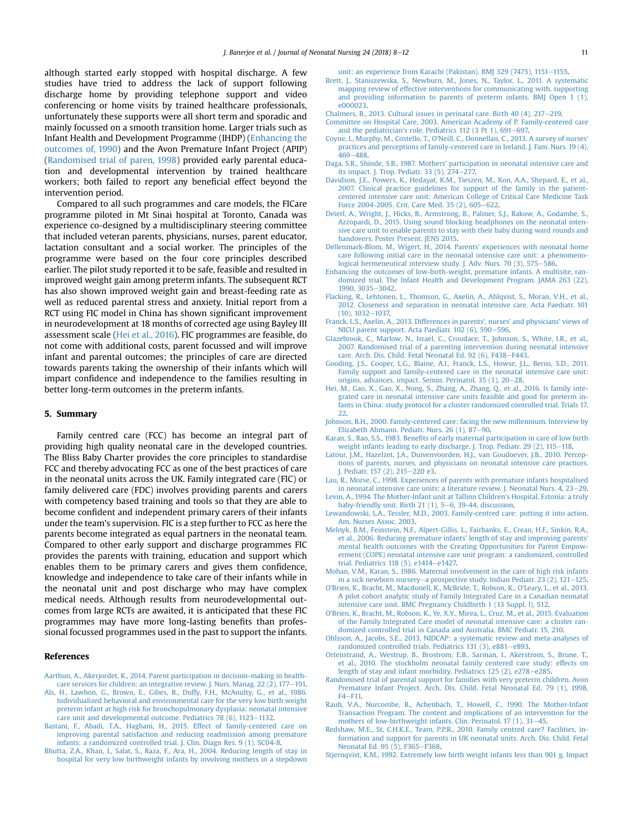<span id="page-3-0"></span>although started early stopped with hospital discharge. A few studies have tried to address the lack of support following discharge home by providing telephone support and video conferencing or home visits by trained healthcare professionals, unfortunately these supports were all short term and sporadic and mainly focussed on a smooth transition home. Larger trials such as Infant Health and Development Programme (IHDP) (Enhancing the outcomes of, 1990) and the Avon Premature Infant Project (APIP) (Randomised trial of paren, 1998) provided early parental education and developmental intervention by trained healthcare workers; both failed to report any beneficial effect beyond the intervention period.

Compared to all such programmes and care models, the FICare programme piloted in Mt Sinai hospital at Toronto, Canada was experience co-designed by a multidisciplinary steering committee that included veteran parents, physicians, nurses, parent educator, lactation consultant and a social worker. The principles of the programme were based on the four core principles described earlier. The pilot study reported it to be safe, feasible and resulted in improved weight gain among preterm infants. The subsequent RCT has also shown improved weight gain and breast-feeding rate as well as reduced parental stress and anxiety. Initial report from a RCT using FIC model in China has shown significant improvement in neurodevelopment at 18 months of corrected age using Bayley III assessment scale (Hei et al., 2016). FIC programmes are feasible, do not come with additional costs, parent focussed and will improve infant and parental outcomes; the principles of care are directed towards parents taking the ownership of their infants which will impart confidence and independence to the families resulting in better long-term outcomes in the preterm infants.

#### 5. Summary

Family centred care (FCC) has become an integral part of providing high quality neonatal care in the developed countries. The Bliss Baby Charter provides the core principles to standardise FCC and thereby advocating FCC as one of the best practices of care in the neonatal units across the UK. Family integrated care (FIC) or family delivered care (FDC) involves providing parents and carers with competency based training and tools so that they are able to become confident and independent primary carers of their infants under the team's supervision. FIC is a step further to FCC as here the parents become integrated as equal partners in the neonatal team. Compared to other early support and discharge programmes FIC provides the parents with training, education and support which enables them to be primary carers and gives them confidence, knowledge and independence to take care of their infants while in the neonatal unit and post discharge who may have complex medical needs. Although results from neurodevelopmental outcomes from large RCTs are awaited, it is anticipated that these FIC programmes may have more long-lasting benefits than professional focussed programmes used in the past to support the infants.

#### References

- [Aarthun, A., Akerjordet, K., 2014. Parent participation in decision-making in health](http://refhub.elsevier.com/S1355-1841(17)30183-7/sref1)[care services for children: an integrative review. J. Nurs. Manag. 22 \(2\), 177](http://refhub.elsevier.com/S1355-1841(17)30183-7/sref1)-[191.](http://refhub.elsevier.com/S1355-1841(17)30183-7/sref1)
- [Als, H., Lawhon, G., Brown, E., Gibes, R., Duffy, F.H., McAnulty, G., et al., 1986.](http://refhub.elsevier.com/S1355-1841(17)30183-7/sref2) [Individualized behavioral and environmental care for the very low birth weight](http://refhub.elsevier.com/S1355-1841(17)30183-7/sref2) [preterm infant at high risk for bronchopulmonary dysplasia: neonatal intensive](http://refhub.elsevier.com/S1355-1841(17)30183-7/sref2) care unit and developmental outcome. Pediatrics  $78$  (6),  $1123-1132$  $1123-1132$ .
- [Bastani, F., Abadi, T.A., Haghani, H., 2015. Effect of family-centered care on](http://refhub.elsevier.com/S1355-1841(17)30183-7/sref3) [improving parental satisfaction and reducing readmission among premature](http://refhub.elsevier.com/S1355-1841(17)30183-7/sref3) [infants: a randomized controlled trial. J. Clin. Diagn Res. 9 \(1\). SC04-8.](http://refhub.elsevier.com/S1355-1841(17)30183-7/sref3)
- [Bhutta, Z.A., Khan, I., Salat, S., Raza, F., Ara, H., 2004. Reducing length of stay in](http://refhub.elsevier.com/S1355-1841(17)30183-7/sref4) [hospital for very low birthweight infants by involving mothers in a stepdown](http://refhub.elsevier.com/S1355-1841(17)30183-7/sref4)

[unit: an experience from Karachi \(Pakistan\). BMJ 329 \(7475\), 1151](http://refhub.elsevier.com/S1355-1841(17)30183-7/sref4)-[1155](http://refhub.elsevier.com/S1355-1841(17)30183-7/sref4).

- [Brett, J., Staniszewska, S., Newburn, M., Jones, N., Taylor, L., 2011. A systematic](http://refhub.elsevier.com/S1355-1841(17)30183-7/sref5) [mapping review of effective interventions for communicating with, supporting](http://refhub.elsevier.com/S1355-1841(17)30183-7/sref5) [and providing information to parents of preterm infants. BMJ Open 1 \(1\),](http://refhub.elsevier.com/S1355-1841(17)30183-7/sref5) [e000023](http://refhub.elsevier.com/S1355-1841(17)30183-7/sref5).
- Chalmers, B., 2013. Cultural issues in perinatal care. Birth 40  $(4)$ , 217-[219.](http://refhub.elsevier.com/S1355-1841(17)30183-7/sref6)
- [Committee on Hospital Care, 2003. American Academy of P. Family-centered care](http://refhub.elsevier.com/S1355-1841(17)30183-7/sref7) and the pediatrician's role. Pediatrics 112 (3 Pt 1),  $691-697$ .
- [Coyne, I., Murphy, M., Costello, T., O'Neill, C., Donnellan, C., 2013. A survey of nurses'](http://refhub.elsevier.com/S1355-1841(17)30183-7/sref8) [practices and perceptions of family-centered care in Ireland. J. Fam. Nurs. 19 \(4\),](http://refhub.elsevier.com/S1355-1841(17)30183-7/sref8) [469](http://refhub.elsevier.com/S1355-1841(17)30183-7/sref8)-[488](http://refhub.elsevier.com/S1355-1841(17)30183-7/sref8).
- [Daga, S.R., Shinde, S.B., 1987. Mothers' participation in neonatal intensive care and](http://refhub.elsevier.com/S1355-1841(17)30183-7/sref9) its impact. J. Trop. Pediatr. 33  $(5)$ ,  $274-277$ .
- [Davidson, J.E., Powers, K., Hedayat, K.M., Tieszen, M., Kon, A.A., Shepard, E., et al.,](http://refhub.elsevier.com/S1355-1841(17)30183-7/sref10) [2007. Clinical practice guidelines for support of the family in the patient](http://refhub.elsevier.com/S1355-1841(17)30183-7/sref10)[centered intensive care unit: American College of Critical Care Medicine Task](http://refhub.elsevier.com/S1355-1841(17)30183-7/sref10) Force 2004-2005. Crit. Care Med. 35 (2),  $605-622$ .
- [Deierl, A., Wright, J., Hicks, B., Armstrong, B., Palmer, S.J., Rakow, A., Godambe, S.,](http://refhub.elsevier.com/S1355-1841(17)30183-7/sref11) [Azzopardi, D., 2015. Using sound blocking headphones on the neonatal inten](http://refhub.elsevier.com/S1355-1841(17)30183-7/sref11)[sive care unit to enable parents to stay with their baby during ward rounds and](http://refhub.elsevier.com/S1355-1841(17)30183-7/sref11) [handovers. Poster Present. JENS 2015.](http://refhub.elsevier.com/S1355-1841(17)30183-7/sref11)
- [Dellenmark-Blom, M., Wigert, H., 2014. Parents' experiences with neonatal home](http://refhub.elsevier.com/S1355-1841(17)30183-7/sref12) [care following initial care in the neonatal intensive care unit: a phenomeno](http://refhub.elsevier.com/S1355-1841(17)30183-7/sref12)[logical hermeneutical interview study. J. Adv. Nurs. 70 \(3\), 575](http://refhub.elsevier.com/S1355-1841(17)30183-7/sref12)-[586](http://refhub.elsevier.com/S1355-1841(17)30183-7/sref12).
- [Enhancing the outcomes of low-birth-weight, premature infants. A multisite, ran](http://refhub.elsevier.com/S1355-1841(17)30183-7/sref13)[domized trial. The Infant Health and Development Program. JAMA 263 \(22\),](http://refhub.elsevier.com/S1355-1841(17)30183-7/sref13) [1990, 3035](http://refhub.elsevier.com/S1355-1841(17)30183-7/sref13)-[3042](http://refhub.elsevier.com/S1355-1841(17)30183-7/sref13).
- [Flacking, R., Lehtonen, L., Thomson, G., Axelin, A., Ahlqvist, S., Moran, V.H., et al.,](http://refhub.elsevier.com/S1355-1841(17)30183-7/sref14) [2012. Closeness and separation in neonatal intensive care. Acta Paediatr. 101](http://refhub.elsevier.com/S1355-1841(17)30183-7/sref14)  $(10)$ ,  $1032 - 1037$ .
- [Franck, L.S., Axelin, A., 2013. Differences in parents', nurses' and physicians' views of](http://refhub.elsevier.com/S1355-1841(17)30183-7/sref15) [NICU parent support. Acta Paediatr. 102 \(6\), 590](http://refhub.elsevier.com/S1355-1841(17)30183-7/sref15)-[596.](http://refhub.elsevier.com/S1355-1841(17)30183-7/sref15)
- [Glazebrook, C., Marlow, N., Israel, C., Croudace, T., Johnson, S., White, I.R., et al.,](http://refhub.elsevier.com/S1355-1841(17)30183-7/sref16) [2007. Randomised trial of a parenting intervention during neonatal intensive](http://refhub.elsevier.com/S1355-1841(17)30183-7/sref16) [care. Arch. Dis. Child. Fetal Neonatal Ed. 92 \(6\), F438](http://refhub.elsevier.com/S1355-1841(17)30183-7/sref16)-[F443](http://refhub.elsevier.com/S1355-1841(17)30183-7/sref16).
- [Gooding, J.S., Cooper, L.G., Blaine, A.I., Franck, L.S., Howse, J.L., Berns, S.D., 2011.](http://refhub.elsevier.com/S1355-1841(17)30183-7/sref17) [Family support and family-centered care in the neonatal intensive care unit:](http://refhub.elsevier.com/S1355-1841(17)30183-7/sref17) [origins, advances, impact. Semin. Perinatol. 35 \(1\), 20](http://refhub.elsevier.com/S1355-1841(17)30183-7/sref17)-[28.](http://refhub.elsevier.com/S1355-1841(17)30183-7/sref17)
- [Hei, M., Gao, X., Gao, X., Nong, S., Zhang, A., Zhang, Q., et al., 2016. Is family inte](http://refhub.elsevier.com/S1355-1841(17)30183-7/sref18)[grated care in neonatal intensive care units feasible and good for preterm in](http://refhub.elsevier.com/S1355-1841(17)30183-7/sref18)[fants in China: study protocol for a cluster randomized controlled trial. Trials 17,](http://refhub.elsevier.com/S1355-1841(17)30183-7/sref18)  $22.$  $22.$
- [Johnson, B.H., 2000. Family-centered care: facing the new millennium. Interview by](http://refhub.elsevier.com/S1355-1841(17)30183-7/sref19) [Elizabeth Ahmann. Pediatr. Nurs. 26 \(1\), 87](http://refhub.elsevier.com/S1355-1841(17)30183-7/sref19)-[90](http://refhub.elsevier.com/S1355-1841(17)30183-7/sref19).
- Karan, S., Rao, S.S., 1983. Benefi[ts of early maternal participation in care of low birth](http://refhub.elsevier.com/S1355-1841(17)30183-7/sref20) [weight infants leading to early discharge. J. Trop. Pediatr. 29 \(2\), 115](http://refhub.elsevier.com/S1355-1841(17)30183-7/sref20)-[118](http://refhub.elsevier.com/S1355-1841(17)30183-7/sref20).
- [Latour, J.M., Hazelzet, J.A., Duivenvoorden, H.J., van Goudoever, J.B., 2010. Percep](http://refhub.elsevier.com/S1355-1841(17)30183-7/sref21)[tions of parents, nurses, and physicians on neonatal intensive care practices.](http://refhub.elsevier.com/S1355-1841(17)30183-7/sref21) [J. Pediatr. 157 \(2\), 215](http://refhub.elsevier.com/S1355-1841(17)30183-7/sref21)-[220 e3.](http://refhub.elsevier.com/S1355-1841(17)30183-7/sref21)
- [Lau, R., Morse, C., 1998. Experiences of parents with premature infants hospitalised](http://refhub.elsevier.com/S1355-1841(17)30183-7/sref22) [in neonatal intensive care units: a literature review. J. Neonatal Nurs. 4, 23](http://refhub.elsevier.com/S1355-1841(17)30183-7/sref22)-[29](http://refhub.elsevier.com/S1355-1841(17)30183-7/sref22).
- [Levin, A., 1994. The Mother-Infant unit at Tallinn Children's Hospital, Estonia: a truly](http://refhub.elsevier.com/S1355-1841(17)30183-7/sref23) baby-friendly unit. Birth 21  $(1)$ , 5-[6, 39-44, discussion.](http://refhub.elsevier.com/S1355-1841(17)30183-7/sref23)
- [Lewandowski, L.A., Tessler, M.D., 2003. Family-centred care: putting it into action.](http://refhub.elsevier.com/S1355-1841(17)30183-7/sref24) [Am. Nurses Assoc. 2003.](http://refhub.elsevier.com/S1355-1841(17)30183-7/sref24)
- [Melnyk, B.M., Feinstein, N.F., Alpert-Gillis, L., Fairbanks, E., Crean, H.F., Sinkin, R.A.,](http://refhub.elsevier.com/S1355-1841(17)30183-7/sref25) [et al., 2006. Reducing premature infants' length of stay and improving parents'](http://refhub.elsevier.com/S1355-1841(17)30183-7/sref25) [mental health outcomes with the Creating Opportunities for Parent Empow](http://refhub.elsevier.com/S1355-1841(17)30183-7/sref25)[erment \(COPE\) neonatal intensive care unit program: a randomized, controlled](http://refhub.elsevier.com/S1355-1841(17)30183-7/sref25) trial. Pediatrics  $118(5)$ , e $1414 - e1427$ .
- [Mohan, V.M., Karan, S., 1986. Maternal involvement in the care of high risk infants](http://refhub.elsevier.com/S1355-1841(17)30183-7/sref26) [in a sick newborn nursery](http://refhub.elsevier.com/S1355-1841(17)30183-7/sref26)-a prospective study. Indian Pediatr.  $23$  (2),  $121-125$  $121-125$ .
- [O'Brien, K., Bracht, M., Macdonell, K., McBride, T., Robson, K., O'Leary, L., et al., 2013.](http://refhub.elsevier.com/S1355-1841(17)30183-7/sref27) [A pilot cohort analytic study of Family Integrated Care in a Canadian neonatal](http://refhub.elsevier.com/S1355-1841(17)30183-7/sref27) [intensive care unit. BMC Pregnancy Childbirth 1 \(13 Suppl. l\), S12](http://refhub.elsevier.com/S1355-1841(17)30183-7/sref27).
- [O'Brien, K., Bracht, M., Robson, K., Ye, X.Y., Mirea, L., Cruz, M., et al., 2015. Evaluation](http://refhub.elsevier.com/S1355-1841(17)30183-7/sref28) [of the Family Integrated Care model of neonatal intensive care: a cluster ran](http://refhub.elsevier.com/S1355-1841(17)30183-7/sref28)[domized controlled trial in Canada and Australia. BMC Pediatr. 15, 210](http://refhub.elsevier.com/S1355-1841(17)30183-7/sref28).
- [Ohlsson, A., Jacobs, S.E., 2013. NIDCAP: a systematic review and meta-analyses of](http://refhub.elsevier.com/S1355-1841(17)30183-7/sref29) [randomized controlled trials. Pediatrics 131 \(3\), e881](http://refhub.elsevier.com/S1355-1841(17)30183-7/sref29)-[e893.](http://refhub.elsevier.com/S1355-1841(17)30183-7/sref29)
- [Ortenstrand, A., Westrup, B., Brostrom, E.B., Sarman, I., Akerstrom, S., Brune, T.,](http://refhub.elsevier.com/S1355-1841(17)30183-7/sref30) [et al., 2010. The stockholm neonatal family centered care study: effects on](http://refhub.elsevier.com/S1355-1841(17)30183-7/sref30) [length of stay and infant morbidity. Pediatrics 125 \(2\), e278](http://refhub.elsevier.com/S1355-1841(17)30183-7/sref30)-[e285.](http://refhub.elsevier.com/S1355-1841(17)30183-7/sref30)
- [Randomised trial of parental support for families with very preterm children. Avon](http://refhub.elsevier.com/S1355-1841(17)30183-7/sref31) [Premature Infant Project. Arch. Dis. Child. Fetal Neonatal Ed. 79 \(1\), 1998,](http://refhub.elsevier.com/S1355-1841(17)30183-7/sref31)  $F4-F11.$  $F4-F11.$  $F4-F11.$
- [Rauh, V.A., Nurcombe, B., Achenbach, T., Howell, C., 1990. The Mother-Infant](http://refhub.elsevier.com/S1355-1841(17)30183-7/sref32) [Transaction Program. The content and implications of an intervention for the](http://refhub.elsevier.com/S1355-1841(17)30183-7/sref32) mothers of low-birthweight infants. Clin. Perinatol. 17  $(1)$ , 31-[45](http://refhub.elsevier.com/S1355-1841(17)30183-7/sref32).
- [Redshaw, M.E., St, C.H.K.E., Team, P.P.R., 2010. Family centred care? Facilities, in](http://refhub.elsevier.com/S1355-1841(17)30183-7/sref33)[formation and support for parents in UK neonatal units. Arch. Dis. Child. Fetal](http://refhub.elsevier.com/S1355-1841(17)30183-7/sref33) [Neonatal Ed. 95 \(5\), F365](http://refhub.elsevier.com/S1355-1841(17)30183-7/sref33)-[F368.](http://refhub.elsevier.com/S1355-1841(17)30183-7/sref33)
- [Stjernqvist, K.M., 1992. Extremely low birth weight infants less than 901 g. Impact](http://refhub.elsevier.com/S1355-1841(17)30183-7/sref34)